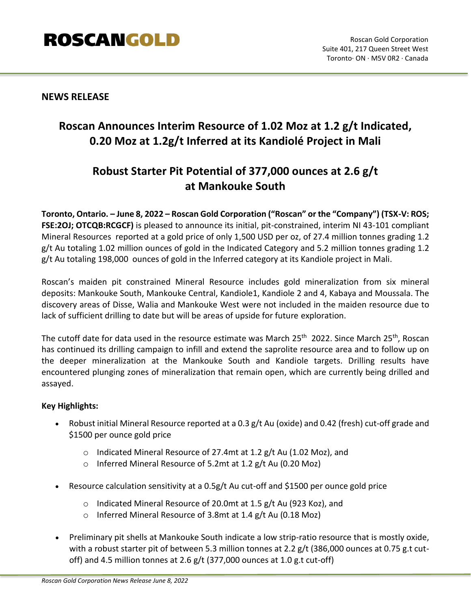# **ROSCANGOLD**

# **NEWS RELEASE**

# **Roscan Announces Interim Resource of 1.02 Moz at 1.2 g/t Indicated, 0.20 Moz at 1.2g/t Inferred at its Kandiolé Project in Mali**

# **Robust Starter Pit Potential of 377,000 ounces at 2.6 g/t at Mankouke South**

**Toronto, Ontario. – June 8, 2022 – Roscan Gold Corporation ("Roscan" or the "Company") (TSX-V: ROS; FSE:2OJ; OTCQB:RCGCF)** is pleased to announce its initial, pit-constrained, interim NI 43-101 compliant Mineral Resources reported at a gold price of only 1,500 USD per oz, of 27.4 million tonnes grading 1.2 g/t Au totaling 1.02 million ounces of gold in the Indicated Category and 5.2 million tonnes grading 1.2 g/t Au totaling 198,000 ounces of gold in the Inferred category at its Kandiole project in Mali.

Roscan's maiden pit constrained Mineral Resource includes gold mineralization from six mineral deposits: Mankouke South, Mankouke Central, Kandiole1, Kandiole 2 and 4, Kabaya and Moussala. The discovery areas of Disse, Walia and Mankouke West were not included in the maiden resource due to lack of sufficient drilling to date but will be areas of upside for future exploration.

The cutoff date for data used in the resource estimate was March 25<sup>th</sup> 2022. Since March 25<sup>th</sup>, Roscan has continued its drilling campaign to infill and extend the saprolite resource area and to follow up on the deeper mineralization at the Mankouke South and Kandiole targets. Drilling results have encountered plunging zones of mineralization that remain open, which are currently being drilled and assayed.

### **Key Highlights:**

- Robust initial Mineral Resource reported at a 0.3 g/t Au (oxide) and 0.42 (fresh) cut-off grade and \$1500 per ounce gold price
	- o Indicated Mineral Resource of 27.4mt at 1.2 g/t Au (1.02 Moz), and
	- o Inferred Mineral Resource of 5.2mt at 1.2 g/t Au (0.20 Moz)
- Resource calculation sensitivity at a 0.5g/t Au cut-off and \$1500 per ounce gold price
	- o Indicated Mineral Resource of 20.0mt at 1.5 g/t Au (923 Koz), and
	- o Inferred Mineral Resource of 3.8mt at 1.4 g/t Au (0.18 Moz)
- Preliminary pit shells at Mankouke South indicate a low strip-ratio resource that is mostly oxide, with a robust starter pit of between 5.3 million tonnes at 2.2 g/t (386,000 ounces at 0.75 g.t cutoff) and 4.5 million tonnes at 2.6 g/t (377,000 ounces at 1.0 g.t cut-off)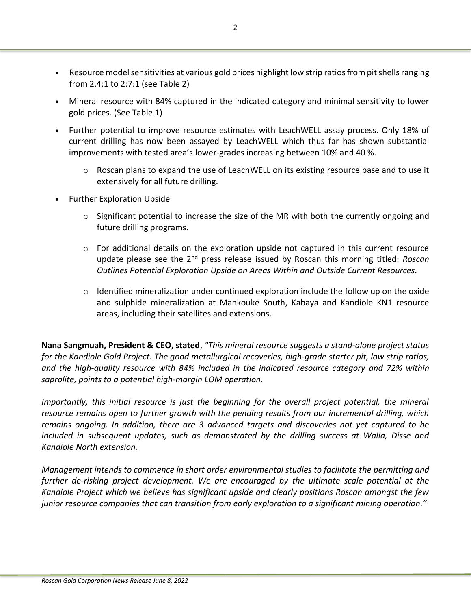- Resource model sensitivities at various gold prices highlight low strip ratios from pit shells ranging from 2.4:1 to 2:7:1 (see Table 2)
- Mineral resource with 84% captured in the indicated category and minimal sensitivity to lower gold prices. (See Table 1)
- Further potential to improve resource estimates with LeachWELL assay process. Only 18% of current drilling has now been assayed by LeachWELL which thus far has shown substantial improvements with tested area's lower-grades increasing between 10% and 40 %.
	- $\circ$  Roscan plans to expand the use of LeachWELL on its existing resource base and to use it extensively for all future drilling.
- Further Exploration Upside
	- $\circ$  Significant potential to increase the size of the MR with both the currently ongoing and future drilling programs.
	- $\circ$  For additional details on the exploration upside not captured in this current resource update please see the 2nd press release issued by Roscan this morning titled: *Roscan Outlines Potential Exploration Upside on Areas Within and Outside Current Resources.*
	- $\circ$  Identified mineralization under continued exploration include the follow up on the oxide and sulphide mineralization at Mankouke South, Kabaya and Kandiole KN1 resource areas, including their satellites and extensions.

**Nana Sangmuah, President & CEO, stated**, *"This mineral resource suggests a stand-alone project status for the Kandiole Gold Project. The good metallurgical recoveries, high-grade starter pit, low strip ratios, and the high-quality resource with 84% included in the indicated resource category and 72% within saprolite, points to a potential high-margin LOM operation.*

*Importantly, this initial resource is just the beginning for the overall project potential, the mineral resource remains open to further growth with the pending results from our incremental drilling, which remains ongoing. In addition, there are 3 advanced targets and discoveries not yet captured to be included in subsequent updates, such as demonstrated by the drilling success at Walia, Disse and Kandiole North extension.* 

*Management intends to commence in short order environmental studies to facilitate the permitting and further de-risking project development. We are encouraged by the ultimate scale potential at the Kandiole Project which we believe has significant upside and clearly positions Roscan amongst the few junior resource companies that can transition from early exploration to a significant mining operation."*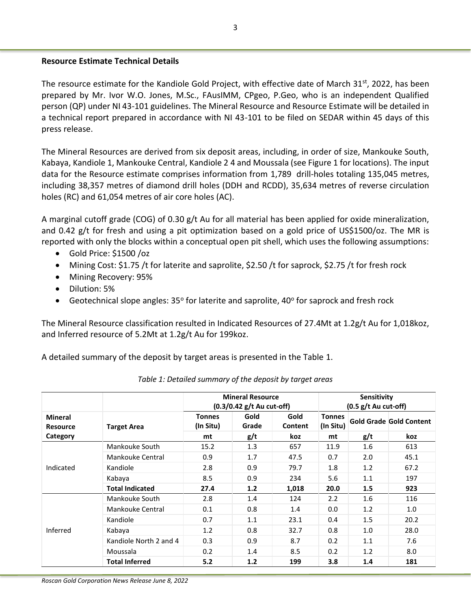### **Resource Estimate Technical Details**

The resource estimate for the Kandiole Gold Project, with effective date of March 31<sup>st</sup>, 2022, has been prepared by Mr. Ivor W.O. Jones, M.Sc., FAusIMM, CPgeo, P.Geo, who is an independent Qualified person (QP) under NI 43-101 guidelines. The Mineral Resource and Resource Estimate will be detailed in a technical report prepared in accordance with NI 43-101 to be filed on SEDAR within 45 days of this press release.

The Mineral Resources are derived from six deposit areas, including, in order of size, Mankouke South, Kabaya, Kandiole 1, Mankouke Central, Kandiole 2 4 and Moussala (see Figure 1 for locations). The input data for the Resource estimate comprises information from 1,789 drill-holes totaling 135,045 metres, including 38,357 metres of diamond drill holes (DDH and RCDD), 35,634 metres of reverse circulation holes (RC) and 61,054 metres of air core holes (AC).

A marginal cutoff grade (COG) of 0.30 g/t Au for all material has been applied for oxide mineralization, and 0.42 g/t for fresh and using a pit optimization based on a gold price of US\$1500/oz. The MR is reported with only the blocks within a conceptual open pit shell, which uses the following assumptions:

- Gold Price: \$1500 /oz
- Mining Cost: \$1.75 /t for laterite and saprolite, \$2.50 /t for saprock, \$2.75 /t for fresh rock
- Mining Recovery: 95%
- Dilution: 5%
- Geotechnical slope angles: 35° for laterite and saprolite, 40° for saprock and fresh rock

The Mineral Resource classification resulted in Indicated Resources of 27.4Mt at 1.2g/t Au for 1,018koz, and Inferred resource of 5.2Mt at 1.2g/t Au for 199koz.

A detailed summary of the deposit by target areas is presented in the Table 1.

|                                   |                        | <b>Mineral Resource</b><br>(0.3/0.42 g/t Au cut-off) |               |                 | Sensitivity<br>$(0.5 g/t$ Au cut-off) |     |                                |
|-----------------------------------|------------------------|------------------------------------------------------|---------------|-----------------|---------------------------------------|-----|--------------------------------|
| <b>Mineral</b><br><b>Resource</b> | <b>Target Area</b>     | <b>Tonnes</b><br>(In Situ)                           | Gold<br>Grade | Gold<br>Content | <b>Tonnes</b><br>(In Situ)            |     | <b>Gold Grade Gold Content</b> |
| Category                          |                        | mt                                                   | g/t           | koz             | mt                                    | g/t | koz                            |
| Indicated                         | Mankouke South         | 15.2                                                 | 1.3           | 657             | 11.9                                  | 1.6 | 613                            |
|                                   | Mankouke Central       | 0.9                                                  | 1.7           | 47.5            | 0.7                                   | 2.0 | 45.1                           |
|                                   | Kandiole               | 2.8                                                  | 0.9           | 79.7            | 1.8                                   | 1.2 | 67.2                           |
|                                   | Kabaya                 | 8.5                                                  | 0.9           | 234             | 5.6                                   | 1.1 | 197                            |
|                                   | <b>Total Indicated</b> | 27.4                                                 | 1.2           | 1,018           | 20.0                                  | 1.5 | 923                            |
| Inferred                          | Mankouke South         | 2.8                                                  | 1.4           | 124             | 2.2                                   | 1.6 | 116                            |
|                                   | Mankouke Central       | 0.1                                                  | 0.8           | 1.4             | 0.0                                   | 1.2 | 1.0                            |
|                                   | Kandiole               | 0.7                                                  | 1.1           | 23.1            | 0.4                                   | 1.5 | 20.2                           |
|                                   | Kabaya                 | 1.2                                                  | 0.8           | 32.7            | 0.8                                   | 1.0 | 28.0                           |
|                                   | Kandiole North 2 and 4 | 0.3                                                  | 0.9           | 8.7             | 0.2                                   | 1.1 | 7.6                            |
|                                   | Moussala               | 0.2                                                  | 1.4           | 8.5             | 0.2                                   | 1.2 | 8.0                            |
|                                   | <b>Total Inferred</b>  | 5.2                                                  | 1.2           | 199             | 3.8                                   | 1.4 | 181                            |

*Table 1: Detailed summary of the deposit by target areas*

*Roscan Gold Corporation News Release June 8, 2022*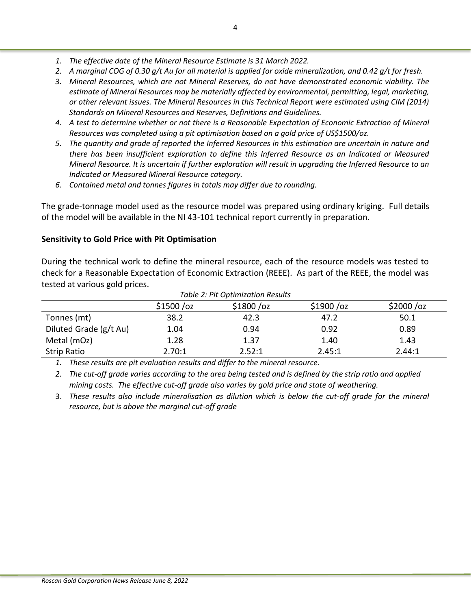- *1. The effective date of the Mineral Resource Estimate is 31 March 2022.*
- *2. A marginal COG of 0.30 g/t Au for all material is applied for oxide mineralization, and 0.42 g/t for fresh.*
- *3. Mineral Resources, which are not Mineral Reserves, do not have demonstrated economic viability. The estimate of Mineral Resources may be materially affected by environmental, permitting, legal, marketing, or other relevant issues. The Mineral Resources in this Technical Report were estimated using CIM (2014) Standards on Mineral Resources and Reserves, Definitions and Guidelines.*
- *4. A test to determine whether or not there is a Reasonable Expectation of Economic Extraction of Mineral Resources was completed using a pit optimisation based on a gold price of US\$1500/oz.*
- *5. The quantity and grade of reported the Inferred Resources in this estimation are uncertain in nature and there has been insufficient exploration to define this Inferred Resource as an Indicated or Measured Mineral Resource. It is uncertain if further exploration will result in upgrading the Inferred Resource to an Indicated or Measured Mineral Resource category.*
- *6. Contained metal and tonnes figures in totals may differ due to rounding.*

The grade-tonnage model used as the resource model was prepared using ordinary kriging. Full details of the model will be available in the NI 43-101 technical report currently in preparation.

## **Sensitivity to Gold Price with Pit Optimisation**

During the technical work to define the mineral resource, each of the resource models was tested to check for a Reasonable Expectation of Economic Extraction (REEE). As part of the REEE, the model was tested at various gold prices.

| Table 2: Pit Optimization Results |             |           |             |             |  |  |  |
|-----------------------------------|-------------|-----------|-------------|-------------|--|--|--|
|                                   | \$1500 / oz | \$1800/oz | \$1900 / oz | \$2000 / oz |  |  |  |
| Tonnes (mt)                       | 38.2        | 42.3      | 47.2        | 50.1        |  |  |  |
| Diluted Grade (g/t Au)            | 1.04        | 0.94      | 0.92        | 0.89        |  |  |  |
| Metal (mOz)                       | 1.28        | 1.37      | 1.40        | 1.43        |  |  |  |
| <b>Strip Ratio</b>                | 2.70:1      | 2.52:1    | 2.45:1      | 2.44:1      |  |  |  |

*1. These results are pit evaluation results and differ to the mineral resource.* 

*2. The cut-off grade varies according to the area being tested and is defined by the strip ratio and applied mining costs. The effective cut-off grade also varies by gold price and state of weathering.*

3. *These results also include mineralisation as dilution which is below the cut-off grade for the mineral resource, but is above the marginal cut-off grade*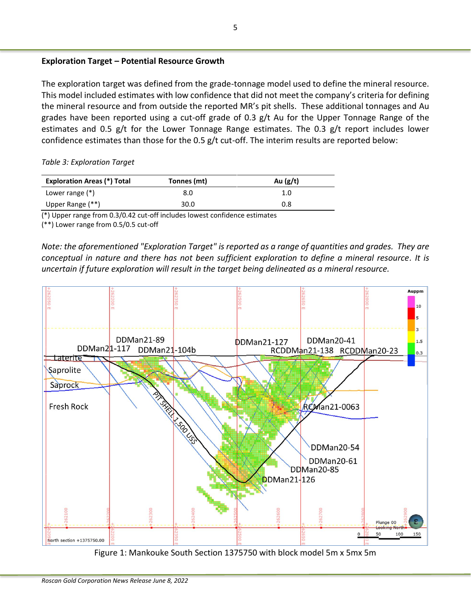## **Exploration Target – Potential Resource Growth**

The exploration target was defined from the grade-tonnage model used to define the mineral resource. This model included estimates with low confidence that did not meet the company's criteria for defining the mineral resource and from outside the reported MR's pit shells. These additional tonnages and Au grades have been reported using a cut-off grade of 0.3 g/t Au for the Upper Tonnage Range of the estimates and 0.5 g/t for the Lower Tonnage Range estimates. The 0.3 g/t report includes lower confidence estimates than those for the 0.5 g/t cut-off. The interim results are reported below:

*Table 3: Exploration Target*

| <b>Exploration Areas (*) Total</b> | Tonnes (mt) | Au $(g/t)$ |
|------------------------------------|-------------|------------|
| Lower range $(*)$                  | 8.0         | 1.0        |
| Upper Range (**)                   | 30.0        | 0.8        |

(\*) Upper range from 0.3/0.42 cut-off includes lowest confidence estimates

(\*\*) Lower range from 0.5/0.5 cut-off

*Note: the aforementioned "Exploration Target" is reported as a range of quantities and grades. They are conceptual in nature and there has not been sufficient exploration to define a mineral resource. It is uncertain if future exploration will result in the target being delineated as a mineral resource.*



Figure 1: Mankouke South Section 1375750 with block model 5m x 5mx 5m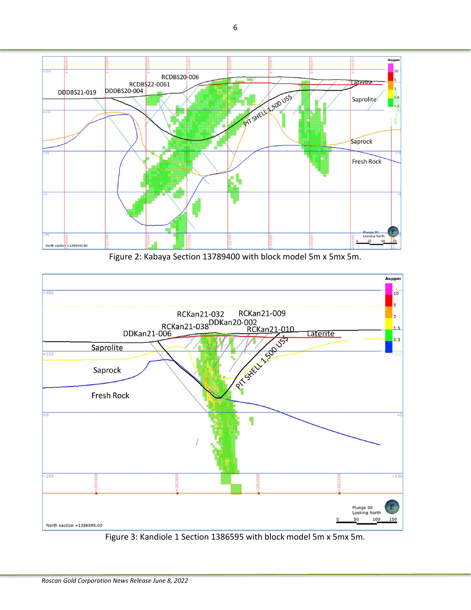

Figure 2: Kabaya Section 13789400 with block model 5m x 5mx 5m.



Figure 3: Kandiole 1 Section 1386595 with block model 5m x 5mx 5m.